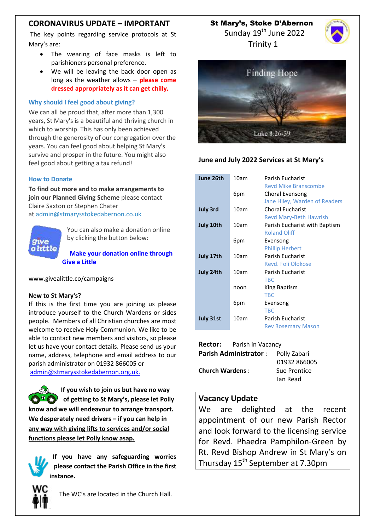# **CORONAVIRUS UPDATE – IMPORTANT**

The key points regarding service protocols at St Mary's are:

- The wearing of face masks is left to parishioners personal preference.
- We will be leaving the back door open as long as the weather allows – **please come dressed appropriately as it can get chilly.**

#### **Why should I feel good about giving?**

We can all be proud that, after more than 1,300 years, St Mary's is a beautiful and thriving church in which to worship. This has only been achieved through the generosity of our congregation over the years. You can feel good about helping St Mary's survive and prosper in the future. You might also feel good about getting a tax refund!

#### **How to Donate**

**To find out more and to make arrangements to join our Planned Giving Scheme** please contact Claire Saxton or Stephen Chater at [admin@stmarysstokedabernon.co.uk](mailto:info@stmarysstokedabernon.co.uk)



You can also make a donation online by clicking the button below:

**Make your [donation](https://givealittle.co/campaigns/7d65d2c5-4189-45f4-9027-11ecb5814414) online through Give a [Little](https://givealittle.co/campaigns/7d65d2c5-4189-45f4-9027-11ecb5814414)**

www.givealittle.co/campaigns

#### **New to St Mary's?**

If this is the first time you are joining us please introduce yourself to the Church Wardens or sides people. Members of all Christian churches are most welcome to receive Holy Communion. We like to be able to contact new members and visitors, so please let us have your contact details. Please send us your name, address, telephone and email address to our parish administrator on 01932 866005 or [admin@stmarysstokedabernon.org.uk.](mailto:admin@stmarysstokedabernon.org.uk)

**If you wish to join us but have no way of getting to St Mary's, please let Polly know and we will endeavour to arrange transport. We desperately need drivers – if you can help in any way with giving lifts to services and/or social functions please let Polly know asap.**

**If you have any safeguarding worries please contact the Parish Office in the first instance.**



The WC's are located in the Church Hall.

St Mary's, Stoke D'Abernon

Sunday 19<sup>th</sup> June 2022 Trinity 1





### **June and July 2022 Services at St Mary's**

| June 26th       | 10am | <b>Parish Eucharist</b>       |
|-----------------|------|-------------------------------|
|                 |      | <b>Revd Mike Branscombe</b>   |
|                 | 6pm  | Choral Evensong               |
|                 |      | Jane Hiley, Warden of Readers |
| <b>July 3rd</b> | 10am | <b>Choral Eucharist</b>       |
|                 |      | <b>Revd Mary-Beth Hawrish</b> |
| July 10th       | 10am | Parish Eucharist with Baptism |
|                 |      | <b>Roland Oliff</b>           |
|                 | 6pm  | Evensong                      |
|                 |      | <b>Phillip Herbert</b>        |
| July 17th       | 10am | <b>Parish Eucharist</b>       |
|                 |      | Revd. Foli Olokose            |
| July 24th       | 10am | <b>Parish Eucharist</b>       |
|                 |      | <b>TBC</b>                    |
|                 | noon | King Baptism                  |
|                 |      | <b>TBC</b>                    |
|                 | 6pm  | Evensong                      |
|                 |      | <b>TBC</b>                    |
| July 31st       | 10am | <b>Parish Eucharist</b>       |
|                 |      | <b>Rev Rosemary Mason</b>     |
|                 |      |                               |

|                              | <b>Rector:</b> Parish in Vacancy |              |  |
|------------------------------|----------------------------------|--------------|--|
| <b>Parish Administrator:</b> |                                  | Polly Zabari |  |
|                              |                                  | 01932 866005 |  |
| <b>Church Wardens:</b>       |                                  | Sue Prentice |  |
|                              |                                  | lan Read     |  |
|                              |                                  |              |  |

### **Vacancy Update**

We are delighted at the recent appointment of our new Parish Rector and look forward to the licensing service for Revd. Phaedra Pamphilon-Green by Rt. Revd Bishop Andrew in St Mary's on Thursday 15<sup>th</sup> September at 7.30pm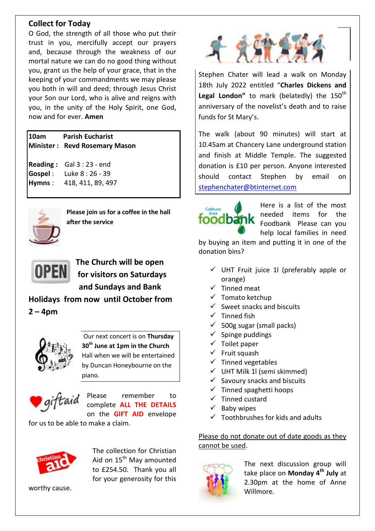# **Collect for Today**

O God, the strength of all those who put their trust in you, mercifully accept our prayers and, because through the weakness of our mortal nature we can do no good thing without you, grant us the help of your grace, that in the keeping of your commandments we may please you both in will and deed; through Jesus Christ your Son our Lord, who is alive and reigns with you, in the unity of the Holy Spirit, one God, now and for ever. **Amen**

### **10am Parish Eucharist Minister : Revd Rosemary Mason**

**Reading :** Gal 3 : 23 - end **Gospel** : Luke 8 : 26 - 39 **Hymns** : 418, 411, 89, 497



**Please join us for a coffee in the hall after the service**



**The Church will be open for visitors on Saturdays and Sundays and Bank** 

**Holidays from now until October from 2 – 4pm**



Our next concert is on **Thursday 30th June at 1pm in the Church**  Hall when we will be entertained by Duncan Honeybourne on the piano.



Please remember to complete **ALL THE DETAILS** on the **GIFT AID** envelope

for us to be able to make a claim.



The collection for Christian Aid on 15<sup>th</sup> May amounted to £254.50. Thank you all for your generosity for this

worthy cause.



Stephen Chater will lead a walk on Monday 18th July 2022 entitled "**Charles Dickens and**  Legal London" to mark (belatedly) the 150<sup>th</sup> anniversary of the novelist's death and to raise funds for St Mary's.

The walk (about 90 minutes) will start at 10.45am at Chancery Lane underground station and finish at Middle Temple. The suggested donation is £10 per person. Anyone interested should contact Stephen by email on [stephenchater@btinternet.com](mailto:stephenchater@btinternet.com)



Here is a list of the most needed items for the Foodbank Please can you help local families in need

by buying an item and putting it in one of the donation bins?

- $\checkmark$  UHT Fruit juice 1l (preferably apple or orange)
- $\checkmark$  Tinned meat
- $\checkmark$  Tomato ketchup
- $\checkmark$  Sweet snacks and biscuits
- $\checkmark$  Tinned fish
- $\checkmark$  500g sugar (small packs)
- $\checkmark$  Spinge puddings
- $\checkmark$  Toilet paper
- $\checkmark$  Fruit squash
- $\checkmark$  Tinned vegetables
- $\checkmark$  UHT Milk 1l (semi skimmed)
- $\checkmark$  Savoury snacks and biscuits
- $\checkmark$  Tinned spaghetti hoops
- $\checkmark$  Tinned custard
- $\checkmark$  Baby wipes
- $\checkmark$  Toothbrushes for kids and adults

Please do not donate out of date goods as they cannot be used.



The next discussion group will take place on **Monday 4th July** at 2.30pm at the home of Anne Willmore.